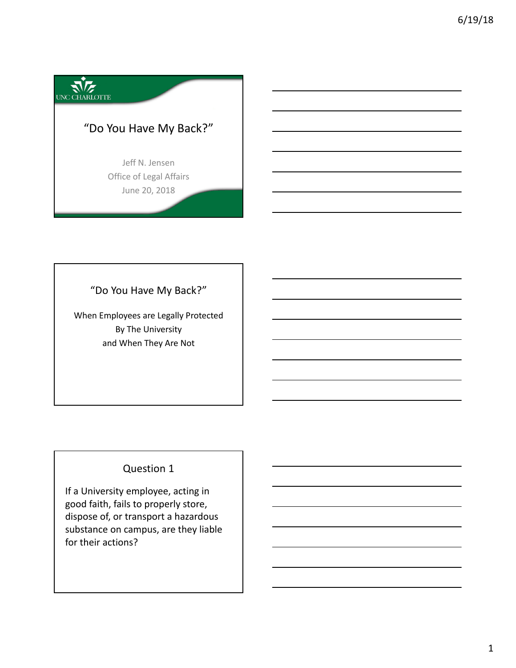

"Do You Have My Back?"

When Employees are Legally Protected By The University and When They Are Not

# Question 1

If a University employee, acting in good faith, fails to properly store, dispose of, or transport a hazardous substance on campus, are they liable for their actions?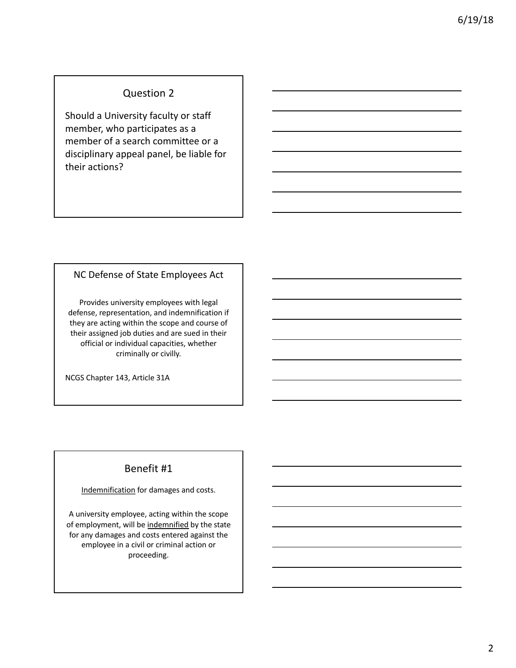### Question 2

Should a University faculty or staff member, who participates as a member of a search committee or a disciplinary appeal panel, be liable for their actions?

#### NC Defense of State Employees Act

Provides university employees with legal defense, representation, and indemnification if they are acting within the scope and course of their assigned job duties and are sued in their official or individual capacities, whether criminally or civilly.

NCGS Chapter 143, Article 31A

## Benefit #1

#### Indemnification for damages and costs.

A university employee, acting within the scope of employment, will be indemnified by the state for any damages and costs entered against the employee in a civil or criminal action or proceeding.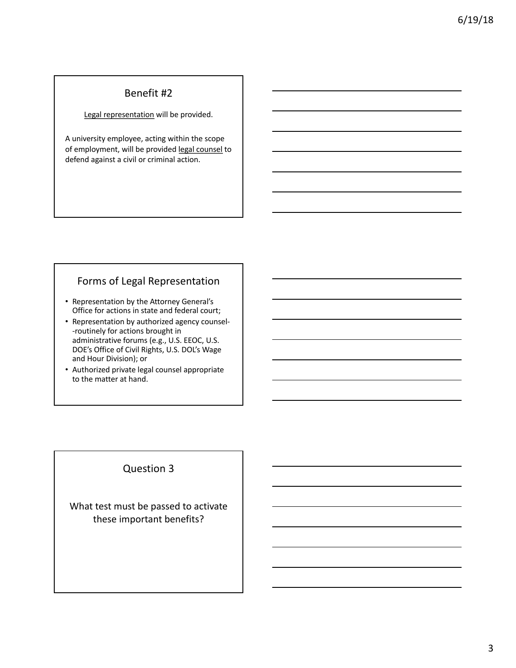### Benefit #2

Legal representation will be provided.

A university employee, acting within the scope of employment, will be provided legal counsel to defend against a civil or criminal action.

## Forms of Legal Representation

- Representation by the Attorney General's Office for actions in state and federal court;
- Representation by authorized agency counsel- -routinely for actions brought in administrative forums (e.g., U.S. EEOC, U.S. DOE's Office of Civil Rights, U.S. DOL's Wage and Hour Division); or
- Authorized private legal counsel appropriate to the matter at hand.

### Question 3

What test must be passed to activate these important benefits?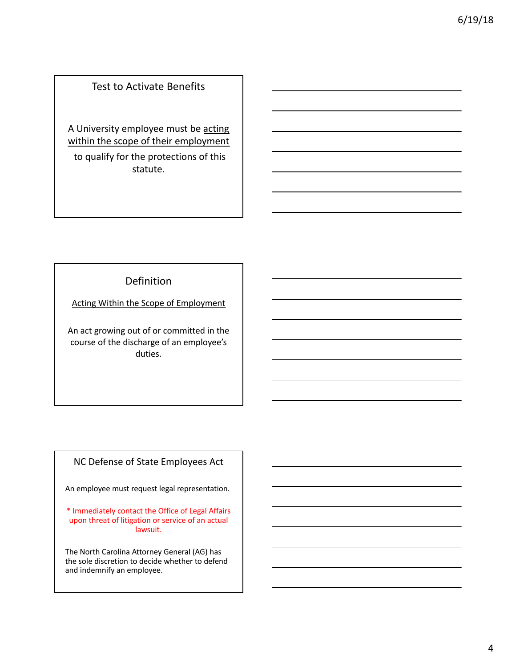## Test to Activate Benefits

A University employee must be acting within the scope of their employment to qualify for the protections of this statute.

#### Definition

Acting Within the Scope of Employment

An act growing out of or committed in the course of the discharge of an employee's duties.

### NC Defense of State Employees Act

An employee must request legal representation.

\* Immediately contact the Office of Legal Affairs upon threat of litigation or service of an actual lawsuit.

The North Carolina Attorney General (AG) has the sole discretion to decide whether to defend and indemnify an employee.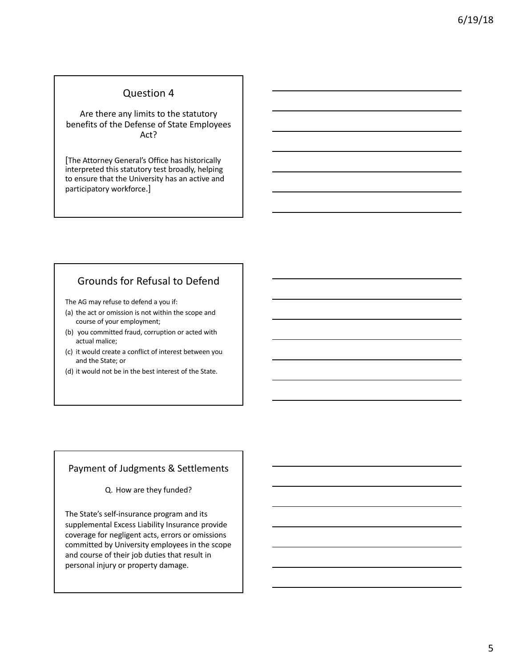#### Question 4

Are there any limits to the statutory benefits of the Defense of State Employees Act?

[The Attorney General's Office has historically interpreted this statutory test broadly, helping to ensure that the University has an active and participatory workforce.]

## Grounds for Refusal to Defend

The AG may refuse to defend a you if:

- (a) the act or omission is not within the scope and course of your employment;
- (b) you committed fraud, corruption or acted with actual malice;
- (c) it would create a conflict of interest between you and the State; or
- (d) it would not be in the best interest of the State.

#### Payment of Judgments & Settlements

Q. How are they funded?

The State's self-insurance program and its supplemental Excess Liability Insurance provide coverage for negligent acts, errors or omissions committed by University employees in the scope and course of their job duties that result in personal injury or property damage.